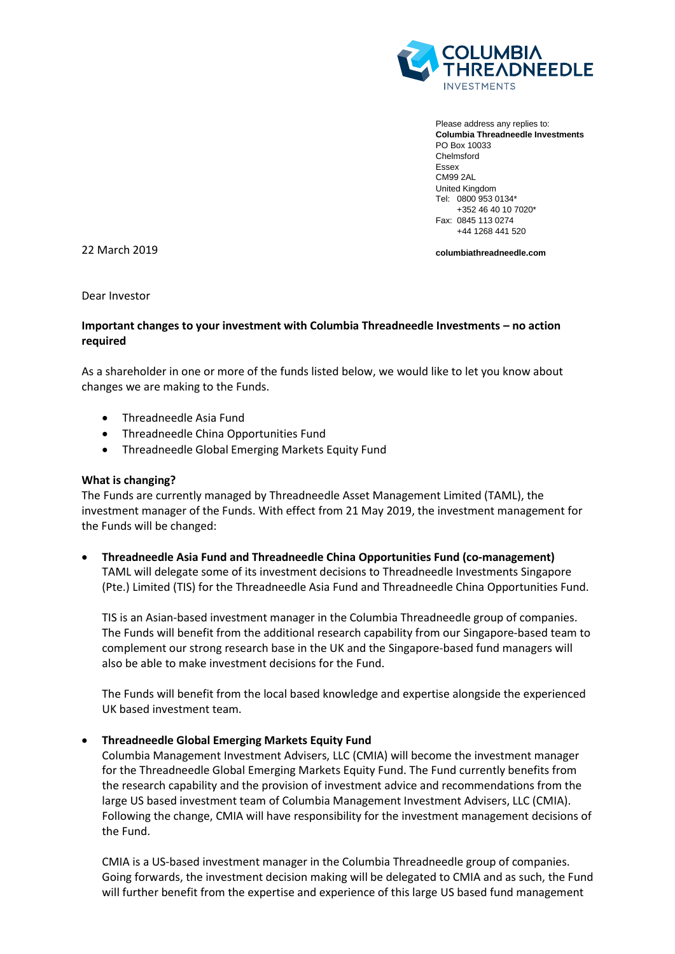

Please address any replies to: **Columbia Threadneedle Investments** PO Box 10033 Chelmsford Essex CM99 2AL United Kingdom Tel: 0800 953 0134\* +352 46 40 10 7020\* Fax: 0845 113 0274 +44 1268 441 520

22 March 2019

**columbiathreadneedle.com**

Dear Investor

# **Important changes to your investment with Columbia Threadneedle Investments – no action required**

As a shareholder in one or more of the funds listed below, we would like to let you know about changes we are making to the Funds.

- Threadneedle Asia Fund
- Threadneedle China Opportunities Fund
- Threadneedle Global Emerging Markets Equity Fund

## **What is changing?**

The Funds are currently managed by Threadneedle Asset Management Limited (TAML), the investment manager of the Funds. With effect from 21 May 2019, the investment management for the Funds will be changed:

• **Threadneedle Asia Fund and Threadneedle China Opportunities Fund (co-management)** TAML will delegate some of its investment decisions to Threadneedle Investments Singapore (Pte.) Limited (TIS) for the Threadneedle Asia Fund and Threadneedle China Opportunities Fund.

TIS is an Asian-based investment manager in the Columbia Threadneedle group of companies. The Funds will benefit from the additional research capability from our Singapore-based team to complement our strong research base in the UK and the Singapore-based fund managers will also be able to make investment decisions for the Fund.

The Funds will benefit from the local based knowledge and expertise alongside the experienced UK based investment team.

## • **Threadneedle Global Emerging Markets Equity Fund**

Columbia Management Investment Advisers, LLC (CMIA) will become the investment manager for the Threadneedle Global Emerging Markets Equity Fund. The Fund currently benefits from the research capability and the provision of investment advice and recommendations from the large US based investment team of Columbia Management Investment Advisers, LLC (CMIA). Following the change, CMIA will have responsibility for the investment management decisions of the Fund.

CMIA is a US-based investment manager in the Columbia Threadneedle group of companies. Going forwards, the investment decision making will be delegated to CMIA and as such, the Fund will further benefit from the expertise and experience of this large US based fund management